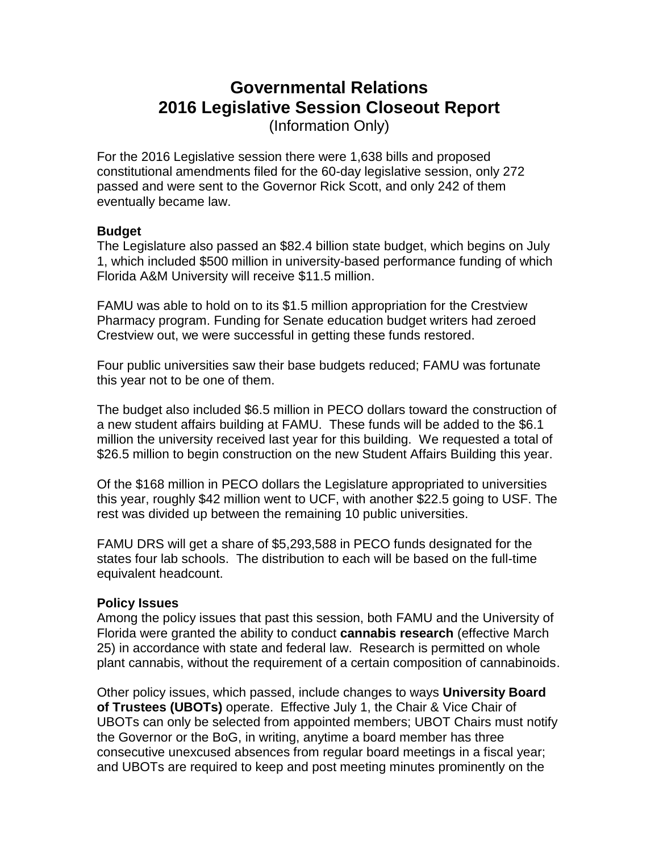## **Governmental Relations 2016 Legislative Session Closeout Report**

(Information Only)

For the 2016 Legislative session there were 1,638 bills and proposed constitutional amendments filed for the 60-day legislative session, only 272 passed and were sent to the Governor Rick Scott, and only 242 of them eventually became law.

## **Budget**

The Legislature also passed an \$82.4 billion state budget, which begins on July 1, which included \$500 million in university-based performance funding of which Florida A&M University will receive \$11.5 million.

FAMU was able to hold on to its \$1.5 million appropriation for the Crestview Pharmacy program. Funding for Senate education budget writers had zeroed Crestview out, we were successful in getting these funds restored.

Four public universities saw their base budgets reduced; FAMU was fortunate this year not to be one of them.

The budget also included \$6.5 million in PECO dollars toward the construction of a new student affairs building at FAMU. These funds will be added to the \$6.1 million the university received last year for this building. We requested a total of \$26.5 million to begin construction on the new Student Affairs Building this year.

Of the \$168 million in PECO dollars the Legislature appropriated to universities this year, roughly \$42 million went to UCF, with another \$22.5 going to USF. The rest was divided up between the remaining 10 public universities.

FAMU DRS will get a share of \$5,293,588 in PECO funds designated for the states four lab schools. The distribution to each will be based on the full-time equivalent headcount.

## **Policy Issues**

Among the policy issues that past this session, both FAMU and the University of Florida were granted the ability to conduct **cannabis research** (effective March 25) in accordance with state and federal law. Research is permitted on whole plant cannabis, without the requirement of a certain composition of cannabinoids.

Other policy issues, which passed, include changes to ways **University Board of Trustees (UBOTs)** operate. Effective July 1, the Chair & Vice Chair of UBOTs can only be selected from appointed members; UBOT Chairs must notify the Governor or the BoG, in writing, anytime a board member has three consecutive unexcused absences from regular board meetings in a fiscal year; and UBOTs are required to keep and post meeting minutes prominently on the